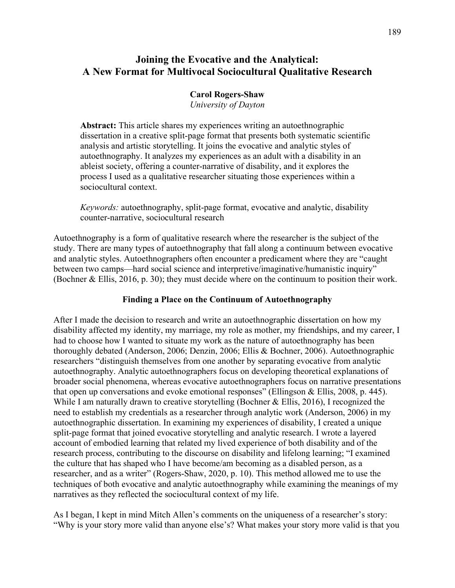# **Joining the Evocative and the Analytical: A New Format for Multivocal Sociocultural Qualitative Research**

### **Carol Rogers-Shaw**

*University of Dayton*

**Abstract:** This article shares my experiences writing an autoethnographic dissertation in a creative split-page format that presents both systematic scientific analysis and artistic storytelling. It joins the evocative and analytic styles of autoethnography. It analyzes my experiences as an adult with a disability in an ableist society, offering a counter-narrative of disability, and it explores the process I used as a qualitative researcher situating those experiences within a sociocultural context.

*Keywords:* autoethnography, split-page format, evocative and analytic, disability counter-narrative, sociocultural research

Autoethnography is a form of qualitative research where the researcher is the subject of the study. There are many types of autoethnography that fall along a continuum between evocative and analytic styles. Autoethnographers often encounter a predicament where they are "caught between two camps—hard social science and interpretive/imaginative/humanistic inquiry" (Bochner & Ellis, 2016, p. 30); they must decide where on the continuum to position their work.

### **Finding a Place on the Continuum of Autoethnography**

After I made the decision to research and write an autoethnographic dissertation on how my disability affected my identity, my marriage, my role as mother, my friendships, and my career, I had to choose how I wanted to situate my work as the nature of autoethnography has been thoroughly debated (Anderson, 2006; Denzin, 2006; Ellis & Bochner, 2006). Autoethnographic researchers "distinguish themselves from one another by separating evocative from analytic autoethnography. Analytic autoethnographers focus on developing theoretical explanations of broader social phenomena, whereas evocative autoethnographers focus on narrative presentations that open up conversations and evoke emotional responses" (Ellingson & Ellis, 2008, p. 445). While I am naturally drawn to creative storytelling (Bochner & Ellis, 2016), I recognized the need to establish my credentials as a researcher through analytic work (Anderson, 2006) in my autoethnographic dissertation. In examining my experiences of disability, I created a unique split-page format that joined evocative storytelling and analytic research. I wrote a layered account of embodied learning that related my lived experience of both disability and of the research process, contributing to the discourse on disability and lifelong learning; "I examined the culture that has shaped who I have become/am becoming as a disabled person, as a researcher, and as a writer" (Rogers-Shaw, 2020, p. 10). This method allowed me to use the techniques of both evocative and analytic autoethnography while examining the meanings of my narratives as they reflected the sociocultural context of my life.

As I began, I kept in mind Mitch Allen's comments on the uniqueness of a researcher's story: "Why is your story more valid than anyone else's? What makes your story more valid is that you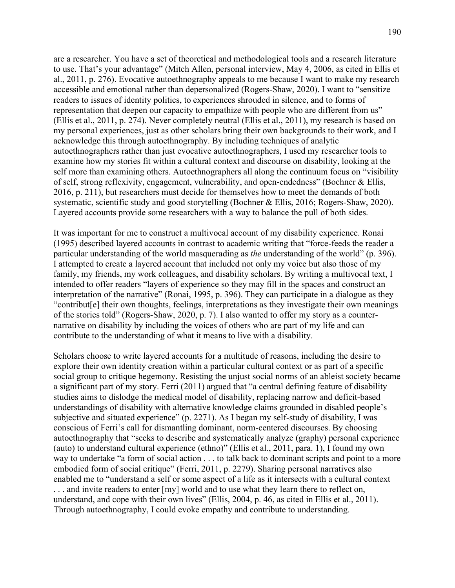are a researcher. You have a set of theoretical and methodological tools and a research literature to use. That's your advantage" (Mitch Allen, personal interview, May 4, 2006, as cited in Ellis et al., 2011, p. 276). Evocative autoethnography appeals to me because I want to make my research accessible and emotional rather than depersonalized (Rogers-Shaw, 2020). I want to "sensitize readers to issues of identity politics, to experiences shrouded in silence, and to forms of representation that deepen our capacity to empathize with people who are different from us" (Ellis et al., 2011, p. 274). Never completely neutral (Ellis et al., 2011), my research is based on my personal experiences, just as other scholars bring their own backgrounds to their work, and I acknowledge this through autoethnography. By including techniques of analytic autoethnographers rather than just evocative autoethnographers, I used my researcher tools to examine how my stories fit within a cultural context and discourse on disability, looking at the self more than examining others. Autoethnographers all along the continuum focus on "visibility of self, strong reflexivity, engagement, vulnerability, and open-endedness" (Bochner & Ellis, 2016, p. 211), but researchers must decide for themselves how to meet the demands of both systematic, scientific study and good storytelling (Bochner & Ellis, 2016; Rogers-Shaw, 2020). Layered accounts provide some researchers with a way to balance the pull of both sides.

It was important for me to construct a multivocal account of my disability experience. Ronai (1995) described layered accounts in contrast to academic writing that "force-feeds the reader a particular understanding of the world masquerading as *the* understanding of the world" (p. 396). I attempted to create a layered account that included not only my voice but also those of my family, my friends, my work colleagues, and disability scholars. By writing a multivocal text, I intended to offer readers "layers of experience so they may fill in the spaces and construct an interpretation of the narrative" (Ronai, 1995, p. 396). They can participate in a dialogue as they "contribut[e] their own thoughts, feelings, interpretations as they investigate their own meanings of the stories told" (Rogers-Shaw, 2020, p. 7). I also wanted to offer my story as a counternarrative on disability by including the voices of others who are part of my life and can contribute to the understanding of what it means to live with a disability.

Scholars choose to write layered accounts for a multitude of reasons, including the desire to explore their own identity creation within a particular cultural context or as part of a specific social group to critique hegemony. Resisting the unjust social norms of an ableist society became a significant part of my story. Ferri (2011) argued that "a central defining feature of disability studies aims to dislodge the medical model of disability, replacing narrow and deficit-based understandings of disability with alternative knowledge claims grounded in disabled people's subjective and situated experience" (p. 2271). As I began my self-study of disability, I was conscious of Ferri's call for dismantling dominant, norm-centered discourses. By choosing autoethnography that "seeks to describe and systematically analyze (graphy) personal experience (auto) to understand cultural experience (ethno)" (Ellis et al., 2011, para. 1), I found my own way to undertake "a form of social action . . . to talk back to dominant scripts and point to a more embodied form of social critique" (Ferri, 2011, p. 2279). Sharing personal narratives also enabled me to "understand a self or some aspect of a life as it intersects with a cultural context ... and invite readers to enter [my] world and to use what they learn there to reflect on, understand, and cope with their own lives" (Ellis, 2004, p. 46, as cited in Ellis et al., 2011). Through autoethnography, I could evoke empathy and contribute to understanding.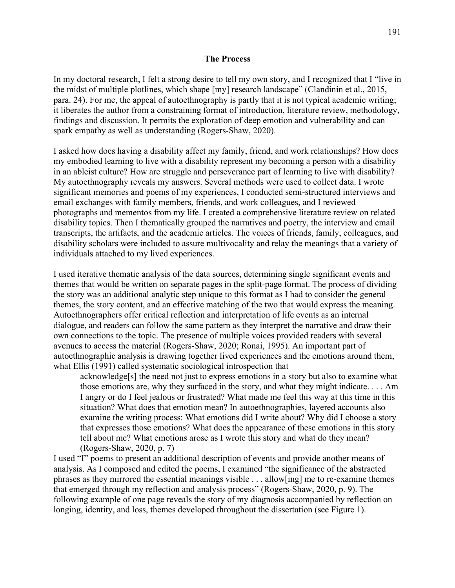### **The Process**

In my doctoral research, I felt a strong desire to tell my own story, and I recognized that I "live in the midst of multiple plotlines, which shape [my] research landscape" (Clandinin et al., 2015, para. 24). For me, the appeal of autoethnography is partly that it is not typical academic writing; it liberates the author from a constraining format of introduction, literature review, methodology, findings and discussion. It permits the exploration of deep emotion and vulnerability and can spark empathy as well as understanding (Rogers-Shaw, 2020).

I asked how does having a disability affect my family, friend, and work relationships? How does my embodied learning to live with a disability represent my becoming a person with a disability in an ableist culture? How are struggle and perseverance part of learning to live with disability? My autoethnography reveals my answers. Several methods were used to collect data. I wrote significant memories and poems of my experiences, I conducted semi-structured interviews and email exchanges with family members, friends, and work colleagues, and I reviewed photographs and mementos from my life. I created a comprehensive literature review on related disability topics. Then I thematically grouped the narratives and poetry, the interview and email transcripts, the artifacts, and the academic articles. The voices of friends, family, colleagues, and disability scholars were included to assure multivocality and relay the meanings that a variety of individuals attached to my lived experiences.

I used iterative thematic analysis of the data sources, determining single significant events and themes that would be written on separate pages in the split-page format. The process of dividing the story was an additional analytic step unique to this format as I had to consider the general themes, the story content, and an effective matching of the two that would express the meaning. Autoethnographers offer critical reflection and interpretation of life events as an internal dialogue, and readers can follow the same pattern as they interpret the narrative and draw their own connections to the topic. The presence of multiple voices provided readers with several avenues to access the material (Rogers-Shaw, 2020; Ronai, 1995). An important part of autoethnographic analysis is drawing together lived experiences and the emotions around them, what Ellis (1991) called systematic sociological introspection that

acknowledge[s] the need not just to express emotions in a story but also to examine what those emotions are, why they surfaced in the story, and what they might indicate. . . . Am I angry or do I feel jealous or frustrated? What made me feel this way at this time in this situation? What does that emotion mean? In autoethnographies, layered accounts also examine the writing process: What emotions did I write about? Why did I choose a story that expresses those emotions? What does the appearance of these emotions in this story tell about me? What emotions arose as I wrote this story and what do they mean? (Rogers-Shaw, 2020, p. 7)

I used "I" poems to present an additional description of events and provide another means of analysis. As I composed and edited the poems, I examined "the significance of the abstracted phrases as they mirrored the essential meanings visible . . . allow[ing] me to re-examine themes that emerged through my reflection and analysis process" (Rogers-Shaw, 2020, p. 9). The following example of one page reveals the story of my diagnosis accompanied by reflection on longing, identity, and loss, themes developed throughout the dissertation (see Figure 1).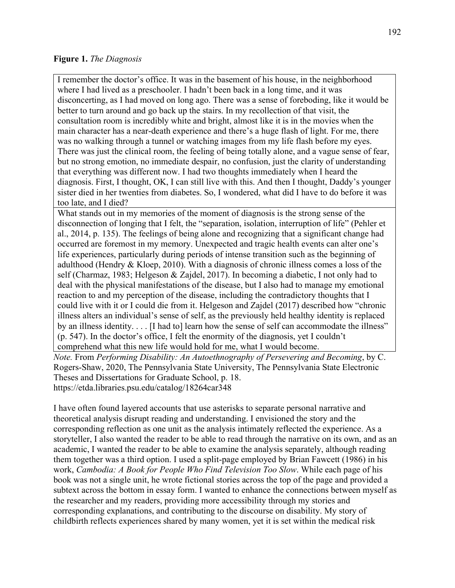### **Figure 1.** *The Diagnosis*

I remember the doctor's office. It was in the basement of his house, in the neighborhood where I had lived as a preschooler. I hadn't been back in a long time, and it was disconcerting, as I had moved on long ago. There was a sense of foreboding, like it would be better to turn around and go back up the stairs. In my recollection of that visit, the consultation room is incredibly white and bright, almost like it is in the movies when the main character has a near-death experience and there's a huge flash of light. For me, there was no walking through a tunnel or watching images from my life flash before my eyes. There was just the clinical room, the feeling of being totally alone, and a vague sense of fear, but no strong emotion, no immediate despair, no confusion, just the clarity of understanding that everything was different now. I had two thoughts immediately when I heard the diagnosis. First, I thought, OK, I can still live with this. And then I thought, Daddy's younger sister died in her twenties from diabetes. So, I wondered, what did I have to do before it was too late, and I died?

What stands out in my memories of the moment of diagnosis is the strong sense of the disconnection of longing that I felt, the "separation, isolation, interruption of life" (Pehler et al., 2014, p. 135). The feelings of being alone and recognizing that a significant change had occurred are foremost in my memory. Unexpected and tragic health events can alter one's life experiences, particularly during periods of intense transition such as the beginning of adulthood (Hendry & Kloep, 2010). With a diagnosis of chronic illness comes a loss of the self (Charmaz, 1983; Helgeson & Zajdel, 2017). In becoming a diabetic, I not only had to deal with the physical manifestations of the disease, but I also had to manage my emotional reaction to and my perception of the disease, including the contradictory thoughts that I could live with it or I could die from it. Helgeson and Zajdel (2017) described how "chronic illness alters an individual's sense of self, as the previously held healthy identity is replaced by an illness identity. . . . [I had to] learn how the sense of self can accommodate the illness" (p. 547). In the doctor's office, I felt the enormity of the diagnosis, yet I couldn't comprehend what this new life would hold for me, what I would become.

*Note.* From *Performing Disability: An Autoethnography of Persevering and Becoming*, by C. Rogers-Shaw, 2020, The Pennsylvania State University, The Pennsylvania State Electronic Theses and Dissertations for Graduate School, p. 18. <https://etda.libraries.psu.edu/catalog/18264car348>

I have often found layered accounts that use asterisks to separate personal narrative and theoretical analysis disrupt reading and understanding. I envisioned the story and the corresponding reflection as one unit as the analysis intimately reflected the experience. As a storyteller, I also wanted the reader to be able to read through the narrative on its own, and as an academic, I wanted the reader to be able to examine the analysis separately, although reading them together was a third option. I used a split-page employed by Brian Fawcett (1986) in his work, *Cambodia: A Book for People Who Find Television Too Slow*. While each page of his book was not a single unit, he wrote fictional stories across the top of the page and provided a subtext across the bottom in essay form. I wanted to enhance the connections between myself as the researcher and my readers, providing more accessibility through my stories and corresponding explanations, and contributing to the discourse on disability. My story of childbirth reflects experiences shared by many women, yet it is set within the medical risk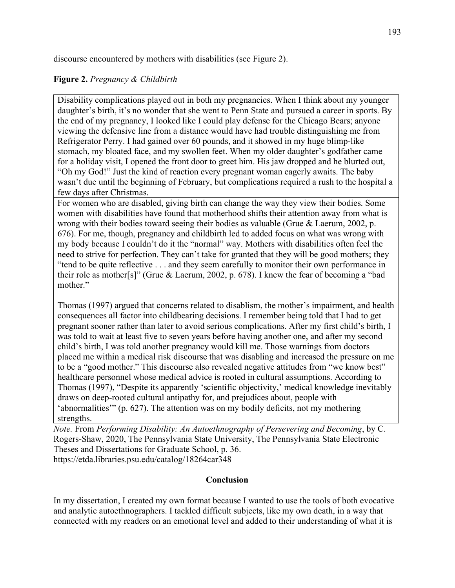discourse encountered by mothers with disabilities (see Figure 2).

## **Figure 2.** *Pregnancy & Childbirth*

Disability complications played out in both my pregnancies. When I think about my younger daughter's birth, it's no wonder that she went to Penn State and pursued a career in sports. By the end of my pregnancy, I looked like I could play defense for the Chicago Bears; anyone viewing the defensive line from a distance would have had trouble distinguishing me from Refrigerator Perry. I had gained over 60 pounds, and it showed in my huge blimp-like stomach, my bloated face, and my swollen feet. When my older daughter's godfather came for a holiday visit, I opened the front door to greet him. His jaw dropped and he blurted out, "Oh my God!" Just the kind of reaction every pregnant woman eagerly awaits. The baby wasn't due until the beginning of February, but complications required a rush to the hospital a few days after Christmas.

For women who are disabled, giving birth can change the way they view their bodies. Some women with disabilities have found that motherhood shifts their attention away from what is wrong with their bodies toward seeing their bodies as valuable (Grue & Laerum, 2002, p. 676). For me, though, pregnancy and childbirth led to added focus on what was wrong with my body because I couldn't do it the "normal" way. Mothers with disabilities often feel the need to strive for perfection. They can't take for granted that they will be good mothers; they "tend to be quite reflective . . . and they seem carefully to monitor their own performance in their role as mother[s]" (Grue & Laerum, 2002, p. 678). I knew the fear of becoming a "bad mother."

Thomas (1997) argued that concerns related to disablism, the mother's impairment, and health consequences all factor into childbearing decisions. I remember being told that I had to get pregnant sooner rather than later to avoid serious complications. After my first child's birth, I was told to wait at least five to seven years before having another one, and after my second child's birth, I was told another pregnancy would kill me. Those warnings from doctors placed me within a medical risk discourse that was disabling and increased the pressure on me to be a "good mother." This discourse also revealed negative attitudes from "we know best" healthcare personnel whose medical advice is rooted in cultural assumptions. According to Thomas (1997), "Despite its apparently 'scientific objectivity,' medical knowledge inevitably draws on deep-rooted cultural antipathy for, and prejudices about, people with 'abnormalities'" (p. 627). The attention was on my bodily deficits, not my mothering strengths.

*Note.* From *Performing Disability: An Autoethnography of Persevering and Becoming*, by C. Rogers-Shaw, 2020, The Pennsylvania State University, The Pennsylvania State Electronic Theses and Dissertations for Graduate School, p. 36. <https://etda.libraries.psu.edu/catalog/18264car348>

### **Conclusion**

In my dissertation, I created my own format because I wanted to use the tools of both evocative and analytic autoethnographers. I tackled difficult subjects, like my own death, in a way that connected with my readers on an emotional level and added to their understanding of what it is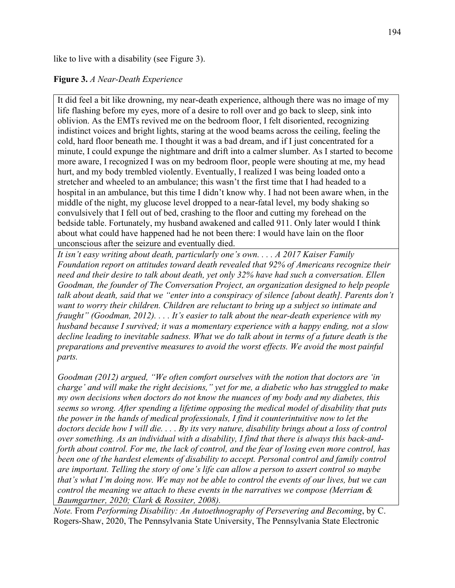like to live with a disability (see Figure 3).

## **Figure 3.** *A Near-Death Experience*

It did feel a bit like drowning, my near-death experience, although there was no image of my life flashing before my eyes, more of a desire to roll over and go back to sleep, sink into oblivion. As the EMTs revived me on the bedroom floor, I felt disoriented, recognizing indistinct voices and bright lights, staring at the wood beams across the ceiling, feeling the cold, hard floor beneath me. I thought it was a bad dream, and if I just concentrated for a minute, I could expunge the nightmare and drift into a calmer slumber. As I started to become more aware, I recognized I was on my bedroom floor, people were shouting at me, my head hurt, and my body trembled violently. Eventually, I realized I was being loaded onto a stretcher and wheeled to an ambulance; this wasn't the first time that I had headed to a hospital in an ambulance, but this time I didn't know why. I had not been aware when, in the middle of the night, my glucose level dropped to a near-fatal level, my body shaking so convulsively that I fell out of bed, crashing to the floor and cutting my forehead on the bedside table. Fortunately, my husband awakened and called 911. Only later would I think about what could have happened had he not been there: I would have lain on the floor unconscious after the seizure and eventually died.

*It isn't easy writing about death, particularly one's own. . . . A 2017 Kaiser Family Foundation report on attitudes toward death revealed that 92% of Americans recognize their need and their desire to talk about death, yet only 32% have had such a conversation. Ellen Goodman, the founder of The Conversation Project, an organization designed to help people talk about death, said that we "enter into a conspiracy of silence [about death]. Parents don't want to worry their children. Children are reluctant to bring up a subject so intimate and fraught" (Goodman, 2012). . . . It's easier to talk about the near-death experience with my husband because I survived; it was a momentary experience with a happy ending, not a slow decline leading to inevitable sadness. What we do talk about in terms of a future death is the preparations and preventive measures to avoid the worst effects. We avoid the most painful parts.*

*Goodman (2012) argued, "We often comfort ourselves with the notion that doctors are 'in charge' and will make the right decisions," yet for me, a diabetic who has struggled to make my own decisions when doctors do not know the nuances of my body and my diabetes, this seems so wrong. After spending a lifetime opposing the medical model of disability that puts the power in the hands of medical professionals, I find it counterintuitive now to let the doctors decide how I will die. . . . By its very nature, disability brings about a loss of control over something. As an individual with a disability, I find that there is always this back-andforth about control. For me, the lack of control, and the fear of losing even more control, has been one of the hardest elements of disability to accept. Personal control and family control are important. Telling the story of one's life can allow a person to assert control so maybe that's what I'm doing now. We may not be able to control the events of our lives, but we can control the meaning we attach to these events in the narratives we compose (Merriam & Baumgartner, 2020; Clark & Rossiter, 2008).* 

*Note.* From *Performing Disability: An Autoethnography of Persevering and Becoming*, by C. Rogers-Shaw, 2020, The Pennsylvania State University, The Pennsylvania State Electronic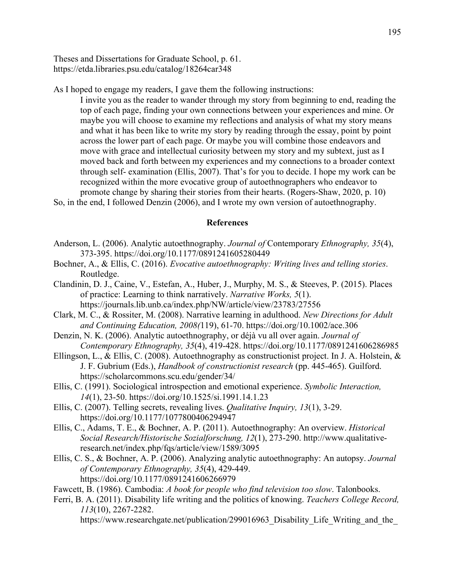Theses and Dissertations for Graduate School, p. 61. <https://etda.libraries.psu.edu/catalog/18264car348>

As I hoped to engage my readers, I gave them the following instructions:

I invite you as the reader to wander through my story from beginning to end, reading the top of each page, finding your own connections between your experiences and mine. Or maybe you will choose to examine my reflections and analysis of what my story means and what it has been like to write my story by reading through the essay, point by point across the lower part of each page. Or maybe you will combine those endeavors and move with grace and intellectual curiosity between my story and my subtext, just as I moved back and forth between my experiences and my connections to a broader context through self- examination (Ellis, 2007). That's for you to decide. I hope my work can be recognized within the more evocative group of autoethnographers who endeavor to promote change by sharing their stories from their hearts. (Rogers-Shaw, 2020, p. 10)

So, in the end, I followed Denzin (2006), and I wrote my own version of autoethnography.

### **References**

- Anderson, L. (2006). Analytic autoethnography. *Journal of* Contemporary *Ethnography, 35*(4), 373-395. https://doi.org/10.1177/0891241605280449
- Bochner, A., & Ellis, C. (2016). *Evocative autoethnography: Writing lives and telling stories*. Routledge.
- Clandinin, D. J., Caine, V., Estefan, A., Huber, J., Murphy, M. S., & Steeves, P. (2015). Places of practice: Learning to think narratively. *Narrative Works, 5*(1). https://journals.lib.unb.ca/index.php/NW/article/view/23783/27556

Clark, M. C., & Rossiter, M. (2008). Narrative learning in adulthood. *New Directions for Adult and Continuing Education, 2008(*119), 61-70. https://doi.org/10.1002/ace.306

- Denzin, N. K. (2006). Analytic autoethnography, or déjà vu all over again. *Journal of Contemporary Ethnography, 35*(4), 419-428.<https://doi.org/10.1177/0891241606286985>
- Ellingson, L., & Ellis, C. (2008). Autoethnography as constructionist project. In J. A. Holstein, & J. F. Gubrium (Eds.), *Handbook of constructionist research* (pp. 445-465). Guilford. https://scholarcommons.scu.edu/gender/34/
- Ellis, C. (1991). Sociological introspection and emotional experience. *Symbolic Interaction, 14*(1), 23-50. https://doi.org/10.1525/si.1991.14.1.23
- Ellis, C. (2007). Telling secrets, revealing lives. *Qualitative Inquiry, 13*(1), 3-29. https://doi.org/10.1177/1077800406294947

Ellis, C., Adams, T. E., & Bochner, A. P. (2011). Autoethnography: An overview. *Historical Social Research/Historische Sozialforschung, 12*(1), 273-290. http://www.qualitativeresearch.net/index.php/fqs/article/view/1589/3095

- Ellis, C. S., & Bochner, A. P. (2006). Analyzing analytic autoethnography: An autopsy. *Journal of Contemporary Ethnography, 35*(4), 429-449. https://doi.org/10.1177/0891241606266979
- Fawcett, B. (1986). Cambodia: *A book for people who find television too slow*. Talonbooks.
- Ferri, B. A. (2011). Disability life writing and the politics of knowing. *Teachers College Record, 113*(10), 2267-2282.

https://www.researchgate.net/publication/299016963 Disability Life Writing and the